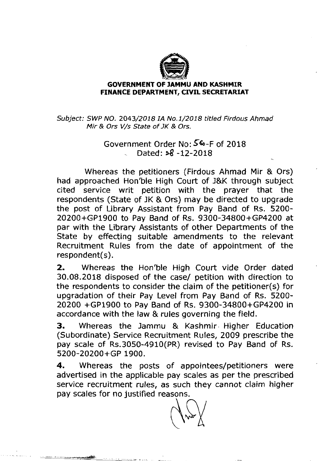

## **GOVERNMENT OF JAMMU AND KASHMIR** FINANCE DEPARTMENT, **CIVIL** SECRETARIAT

# Subject: SWP NO. 2043/2018 IA No.1/2018 titled Firdous Ahrnad Mir & Ors V/s State of JK & Ors.

# Government Order No: **SG-F** of 2018 - Dated: **s8** -12-2018

Whereas the petitioners (Firdous Ahmad Mir & Ors) had approached Hon'ble High Court of J&K through subject cited service writ petition with the prayer that the respondents (State of JK & Ors) may be directed to upgrade the post of Library Assistant from Pay Band of Rs. 5200- 20200+GP1900 to Pay Band of Rs. 9300-34800+GP4200 at par with the Library Assistants of other Departments of the State by effecting suitable amendments to the relevant Recruitment Rules from the date of appointment of the respondent(s).

2. Whereas the Hon'ble High Court vide Order dated 30.08.2018 disposed of the case/ petition with direction to the respondents to consider the claim of the petitioner(s) for upgradation of their Pay Level from Pay Band of Rs. 5200- 20200 +GP1900 to Pay Band of Rs. 9300-34800+GP4200 in accordance with the law & rules governing the field.

3. Whereas the Jammu & Kashmir. Higher Education (Subordinate) Service Recruitment Rules, 2009 prescribe the pay scale of Rs.3050-4910(PR) revised to Pay Band of Rs. 5200-20200+GP 1900.

**4.** Whereas the posts of appointees/petitioners were advertised in the applicable pay scales as per the prescribed service recruitment rules, as such they cannot claim higher pay scales for no justified reasons.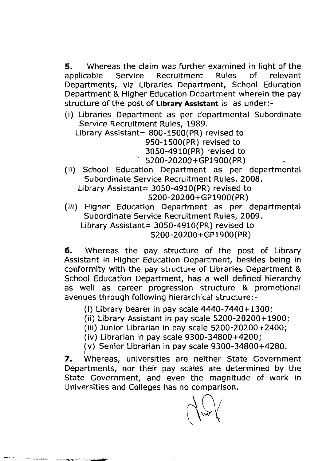**5.** Whereas the claim was further examined in light of the applicable Service Recruitment Rules of relevant Departments, viz Libraries Department, School Education Department & Higher Education Department wherein the pay structure of the post of **Library Assistant** is as under:-

(i) Libraries Department as per departmental Subordinate Service Recruitment Rules, 1989.

Library Assistant= 800- 1500(PR) revised to 950-1500(PR) revised to 3050-4910(PR) revised to 5200-20200+GP1900(PR)

(ii) School Education Department as per departmental Subordinate Service Recruitment Rules, 2008. Library Assistant=  $3050 - 4910$  (PR) revised to 5200-20200+GP1900(PR)

(iii) Higher Education Department as per departmental Subordinate Service Recruitment Rules, 2009. Library Assistant=  $3050 - 4910$  (PR) revised to 5200-20200+GP1900(PR)

**6.** Whereas the pay structure of the post of Library Assistant in Higher Education Department, besides being in conformity with the pay structure of Libraries Department & School Education Department, has a well defined hierarchy as well as career progression structure & promotional avenues through following hierarchical structure:-

(i) Library bearer in pay scale 4440-7440+1300;

- (ii) Library Assistant in pay scale 5200-20200+1900;
- (iii) Junior Librarian in pay scale 5200-20200+2400;
- (iv) Librarian in pay scale 9300-34800+4200;
- (v) Senior Librarian in pay scale 9300-34800+4280.  $\frac{1}{1}$

7. Whereas, universities are neither State Government Departments, nor their pay scales are determined by the State Government, and even the magnitude of work in Universities and Colleges has no comparison.